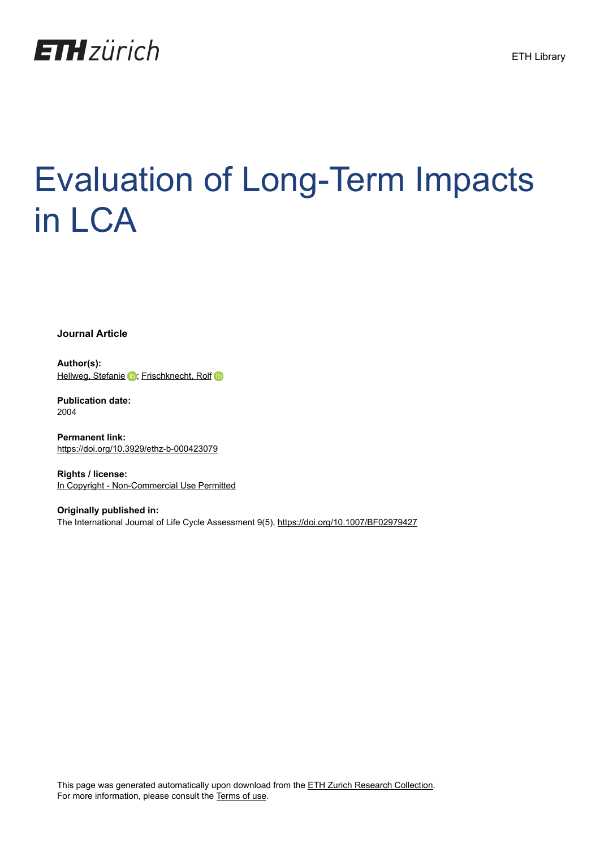

# Evaluation of Long-Term Impacts in LCA

**Journal Article**

**Author(s):** [Hellweg, Stefanie](https://orcid.org/0000-0001-6376-9878) (D; [Frischknecht, Rolf](https://orcid.org/0000-0001-6376-0355) (D)

**Publication date:** 2004

**Permanent link:** <https://doi.org/10.3929/ethz-b-000423079>

**Rights / license:** [In Copyright - Non-Commercial Use Permitted](http://rightsstatements.org/page/InC-NC/1.0/)

**Originally published in:** The International Journal of Life Cycle Assessment 9(5), <https://doi.org/10.1007/BF02979427>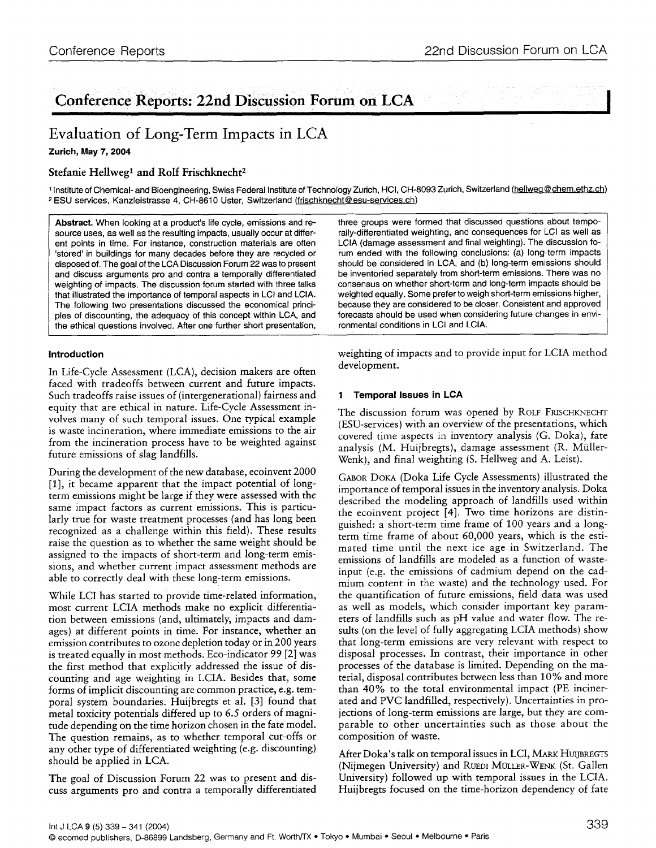# **Conference Reports: 22nd Discussion Forum on LCA**

## **Evaluation of Long-Term Impacts in LCA**

**Zurich, May 7, 2004** 

#### Stefanie Hellweg<sup>1</sup> and Rolf Frischknecht<sup>2</sup>

1 Institute of Chemical- and Bioengineering, Swiss Federal Institute of Technology Zurich, HCI, CH-8093 Zurich, Switzerland (hellweg@chem.ethz.ch) 2 ESU services, Kanzleistrasse 4, CH-8610 Uster, Switzerland (frischknecht@esu-services.ch)

**Abstract.** When looking at a product's life cycle, emissions and resource uses, as well as the resulting impacts, usually occur at different points in time. For instance, construction materials are often 'stored' in buildings for many decades before they are recycled or disposed of. The goal of the LCA Discussion Forum 22 was to present and discuss arguments pro and contra a temporally differentiated weighting of impacts. The discussion forum started with three talks that illustrated the importance of temporal aspects in LCI and LCIA. The following two presentations discussed the economical principles of discounting, the adequacy of this concept within LCA, and the ethical questions involved. After one further short presentation,

#### **Introduction**

In Life-Cycle Assessment (LCA), decision makers are often faced with tradeoffs between current and future impacts. Such tradeoffs raise issues of (intergenerational) fairness and equity that are ethical in nature. Life-Cycle Assessment involves many of such temporal issues. One typical example is waste incineration, where immediate emissions to the air from the incineration process have to be weighted against future emissions of slag landfills.

During the development of the new database, ecoinvent 2000 [1], it became apparent that the impact potential of longterm emissions might be large if they were assessed with the same impact factors as current emissions. This is particularly true for waste treatment processes (and has long been recognized as a challenge within this field). These results raise the question as to whether the same weight should be assigned to the impacts of short-term and long-term emissions, and whether current impact assessment methods are able to correctly deal with these long-term emissions.

While LCI has started to provide time-related information, most current LCIA methods make no explicit differentiation between emissions (and, ultimately, impacts and damages) at different points in time. For instance, whether an emission contributes to ozone depletion today or in 200 years is treated equally in most methods. Eco-indicator 99 [2] was the first method that explicitly addressed the issue of discounting and age weighting in LCIA. Besides that, some forms of implicit discounting are common practice, e.g. temporal system boundaries. Huijbregts et al. [3] found that metal toxicity potentials differed up to *6.5* orders of magnitude depending on the time horizon chosen in the fate model. The question remains, as to whether temporal cut-offs or any other type of differentiated weighting (e.g. discounting) should be applied in LCA.

The goal of Discussion Forum 22 was to present and discuss arguments pro and contra a temporally differentiated three groups were formed that discussed questions about temporally-differentiated weighting, and consequences for LCI as well as LCIA (damage assessment and final weighting). The discussion forum ended with the following conclusions: (a) long-term impacts should be considered in LCA, and (b) long-term emissions should be inventoried separately from short-term emissions. There was no consensus on whether short-term and long-term impacts should be weighted equally. Some prefer to weigh short-term emissions higher, because they are considered to be closer. Consistent and approved forecasts should be used when considering future changes in environmental conditions in LCI and LCIA.

weighting of impacts and to provide input for LCIA method development.

#### **1 Temporal Issues in LCA**

The discussion forum was opened by ROLF FRISCHKNECHT (ESU-services) with an overview of the presentations, which covered time aspects in inventory analysis (G. Doka), fate analysis (M. Huijbregts), damage assessment (R. Müller-Wenk), and final weighting (S. Hellweg and A. Leist).

GABOR DOKA (Doka Life Cycle Assessments) illustrated the importance of temporal issues in the inventory analysis. Doka described the modeling approach of landfills used within the ecoinvent project [4]. Two time horizons are distinguished: a short-term time frame of 100 years and a longterm time frame of about 60,000 years, which is the estimated time until the next ice age in Switzerland. The emissions of landfills are modeled as a function of wasteinput (e.g. the emissions of cadmium depend on the cadmium content in the waste) and the technology used. For the quantification of future emissions, field data was used as well as models, which consider important key parameters of landfills such as pH value and water flow. The results (on the level of fully aggregating LCIA methods) show that long-term emissions are very relevant with respect to disposal processes. In contrast, their importance in other processes of the database is limited. Depending on the material, disposal contributes between less than 10 % and more than 40% to the total environmental impact (PE incinerated and PVC landfilled, respectively). Uncertainties in projections of long-term emissions are large, but they are comparable to other uncertainties such as those about the composition of waste.

After Doka's talk on temporal issues in LCI, MARK HUIJBREGTS (Nijmegen University) and RUEDI MULLER-WENK (St. Gallen University) followed up with temporal issues in the LCIA. Huijbregts focused on the time-horizon dependency of fate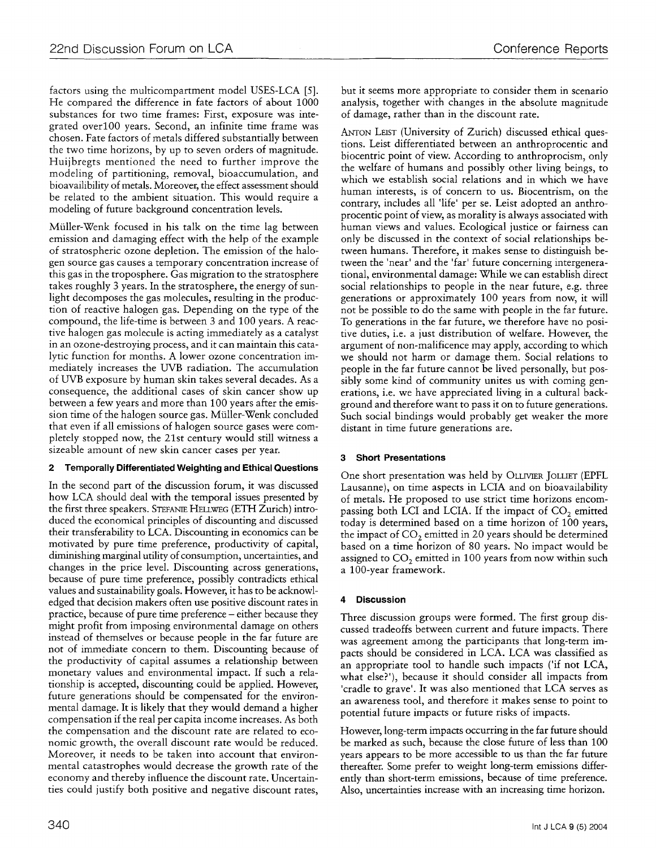factors using the multicompartment model USES-LCA [5]. He compared the difference in fate factors of about 1000 substances for two time frames: First, exposure was integrated over100 years. Second, an infinite time frame was chosen. Fate factors of metals differed substantially between the two time horizons, by up to seven orders of magnitude. Huijbregts mentioned the need to further improve the modeling of partitioning, removal, bioaccumulation, and bioavailibility of metals. Moreover, the effect assessment should be related to the ambient situation. This would require a modeling of future background concentration levels.

Müller-Wenk focused in his talk on the time lag between emission and damaging effect with the help of the example of stratospheric ozone depletion. The emission of the halogen source gas causes a temporary concentration increase of this gas in the troposphere. Gas migration to the stratosphere takes roughly 3 years. In the stratosphere, the energy of sunlight decomposes the gas molecules, resulting in the production of reactive halogen gas. Depending on the type of the compound, the life-time is between 3 and 100 years. A reactive halogen gas molecule is acting immediately as a catalyst in an ozone-destroying process, and it can maintain this catalytic function for months. A lower ozone concentration immediately increases the UVB radiation. The accumulation of UVB exposure by human skin takes several decades. As a consequence, the additional cases of skin cancer show up between a few years and more than 100 years after the emission time of the halogen source gas. Miiller-Wenk concluded that even if all emissions of halogen source gases were completely stopped now, the 21st century would still witness a sizeable amount of new skin cancer cases per year.

#### **2 Temporally Differentiated Weighting and Ethical Questions**

In the second part of the discussion forum, it was discussed how LCA should deal with the temporal issues presented by the first three speakers. STEFANIE HELLWEG (ETH Zurich) introduced the economical principles of discounting and discussed their transferability to LCA. Discounting in economics can be motivated by pure time preference, productivity of capital, diminishing marginal utility of consumption, uncertainties, and changes in the price level. Discounting across generations, because of pure time preference, possibly contradicts ethical values and sustainability goals. However, it has to be acknowledged that decision makers often use positive discount rates in practice, because of pure time preference - either because they might profit from imposing environmental damage on others instead of themselves or because people in the far future are not of immediate concern to them. Discounting because of the productivity of capital assumes a relationship between monetary values and environmental impact. If such a relationship is accepted, discounting could be applied. However, future generations should be compensated for the environmental damage. It is likely that they would demand a higher compensation if the real per capita income increases. As both the compensation and the discount rate are related to economic growth, the overall discount rate would be reduced. Moreover, it needs to be taken into account that environmental catastrophes would decrease the growth rate of the economy and thereby influence the discount rate. Uncertainties could justify both positive and negative discount rates, but it seems more appropriate to consider them in scenario analysis, together with changes in the absolute magnitude of damage, rather than in the discount rate.

ANTON LEIST (University of Zurich) discussed ethical questions. Leist differentiated between an anthroprocentic and biocentric point of view. According to anthroprocism, only the welfare of humans and possibly other living beings, to which we establish social relations and in which we have human interests, is of concern to us. Biocentrism, on the contrary, includes all 'life' per se. Leist adopted an anthroprocentic point of view, as morality is always associated with human views and values. Ecological justice or fairness can only be discussed in the context of social relationships between humans. Therefore, it makes sense to distinguish between the 'near' and the 'far' future concerning intergenerational, environmental damage: While we can establish direct social relationships to people in the near future, e.g. three generations or approximately 100 years from now, it will not be possible to do the same with people in the far future. To generations in the far future, we therefore have no positive duties, i.e. a just distribution of welfare. However, the argument of non-malificence may apply, according to which we should not harm or damage them. Social relations to people in the far future cannot be lived personally, but possibly some kind of community unites us with coming generations, i.e. we have appreciated living in a cultural background and therefore want to pass it on to future generations. Such social bindings would probably get weaker the more distant in time future generations are.

#### **3 Short Presentations**

One short presentation was held by OLLWIER JOLLIET (EPFL Lausanne), on time aspects in LCIA and on bioavailability of metals. He proposed to use strict time horizons encompassing both LCI and LCIA. If the impact of  $CO<sub>2</sub>$  emitted today is determined based on a time horizon of 100 years, the impact of  $CO<sub>2</sub>$  emitted in 20 years should be determined based on a time horizon of 80 years. No impact would be assigned to  $CO<sub>2</sub>$  emitted in 100 years from now within such a 100-year framework.

#### **4 Discussion**

Three discussion groups were formed. The first group discussed tradeoffs between current and future impacts. There was agreement among the participants that long-term impacts should be considered in LCA. LCA was classified as an appropriate tool to handle such impacts ('if not LCA, what else?'), because it should consider all impacts from 'cradle to grave'. It was also mentioned that LCA serves as an awareness tool, and therefore it makes sense to point to potential future impacts or future risks of impacts.

However, long-term impacts occurring in the far future should be marked as such, because the close future of less than 100 years appears to be more accessible to us than the far future thereafter. Some prefer to weight long-term emissions differently than short-term emissions, because of time preference. Also, uncertainties increase with an increasing time horizon.